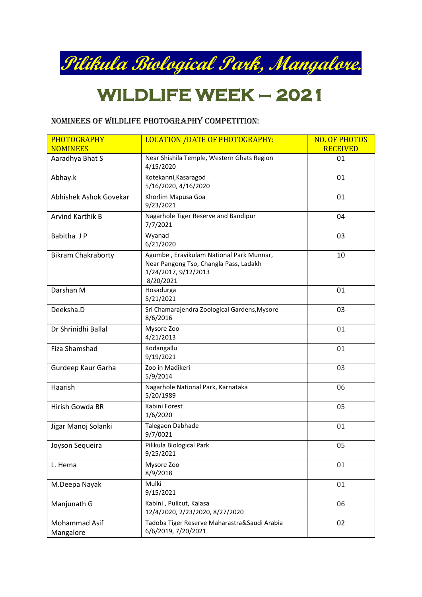

#### Nominees of wildlife photography competition:

| PHOTOGRAPHY<br><b>NOMINEES</b> | <b>LOCATION / DATE OF PHOTOGRAPHY:</b>                                                                                  | <b>NO. OF PHOTOS</b><br><b>RECEIVED</b> |
|--------------------------------|-------------------------------------------------------------------------------------------------------------------------|-----------------------------------------|
| Aaradhya Bhat S                | Near Shishila Temple, Western Ghats Region<br>4/15/2020                                                                 | 01                                      |
| Abhay.k                        | Kotekanni, Kasaragod<br>5/16/2020, 4/16/2020                                                                            | 01                                      |
| Abhishek Ashok Govekar         | Khorlim Mapusa Goa<br>9/23/2021                                                                                         | 01                                      |
| Arvind Karthik B               | Nagarhole Tiger Reserve and Bandipur<br>7/7/2021                                                                        | 04                                      |
| Babitha J P                    | Wyanad<br>6/21/2020                                                                                                     | 03                                      |
| <b>Bikram Chakraborty</b>      | Agumbe, Eravikulam National Park Munnar,<br>Near Pangong Tso, Changla Pass, Ladakh<br>1/24/2017, 9/12/2013<br>8/20/2021 | 10                                      |
| Darshan M                      | Hosadurga<br>5/21/2021                                                                                                  | 01                                      |
| Deeksha.D                      | Sri Chamarajendra Zoological Gardens, Mysore<br>8/6/2016                                                                | 03                                      |
| Dr Shrinidhi Ballal            | Mysore Zoo<br>4/21/2013                                                                                                 | 01                                      |
| Fiza Shamshad                  | Kodangallu<br>9/19/2021                                                                                                 | 01                                      |
| Gurdeep Kaur Garha             | Zoo in Madikeri<br>5/9/2014                                                                                             | 03                                      |
| Haarish                        | Nagarhole National Park, Karnataka<br>5/20/1989                                                                         | 06                                      |
| Hirish Gowda BR                | Kabini Forest<br>1/6/2020                                                                                               | 05                                      |
| Jigar Manoj Solanki            | Talegaon Dabhade<br>9/7/0021                                                                                            | 01                                      |
| Joyson Sequeira                | Pilikula Biological Park<br>9/25/2021                                                                                   | 05                                      |
| L. Hema                        | Mysore Zoo<br>8/9/2018                                                                                                  | 01                                      |
| M.Deepa Nayak                  | Mulki<br>9/15/2021                                                                                                      | 01                                      |
| Manjunath G                    | Kabini, Pulicut, Kalasa<br>12/4/2020, 2/23/2020, 8/27/2020                                                              | 06                                      |
| Mohammad Asif<br>Mangalore     | Tadoba Tiger Reserve Maharastra&Saudi Arabia<br>6/6/2019, 7/20/2021                                                     | 02                                      |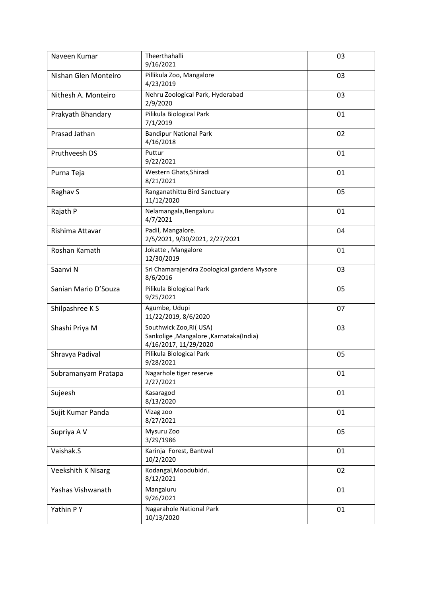| Naveen Kumar              | Theerthahalli<br>9/16/2021                                                                 | 03 |
|---------------------------|--------------------------------------------------------------------------------------------|----|
| Nishan Glen Monteiro      | Pillikula Zoo, Mangalore<br>4/23/2019                                                      | 03 |
| Nithesh A. Monteiro       | Nehru Zoological Park, Hyderabad<br>2/9/2020                                               | 03 |
| Prakyath Bhandary         | Pilikula Biological Park<br>7/1/2019                                                       | 01 |
| Prasad Jathan             | <b>Bandipur National Park</b><br>4/16/2018                                                 | 02 |
| Pruthveesh DS             | Puttur<br>9/22/2021                                                                        | 01 |
| Purna Teja                | Western Ghats, Shiradi<br>8/21/2021                                                        | 01 |
| Raghav S                  | Ranganathittu Bird Sanctuary<br>11/12/2020                                                 | 05 |
| Rajath P                  | Nelamangala, Bengaluru<br>4/7/2021                                                         | 01 |
| Rishima Attavar           | Padil, Mangalore.<br>2/5/2021, 9/30/2021, 2/27/2021                                        | 04 |
| Roshan Kamath             | Jokatte, Mangalore<br>12/30/2019                                                           | 01 |
| Saanvi N                  | Sri Chamarajendra Zoological gardens Mysore<br>8/6/2016                                    | 03 |
| Sanian Mario D'Souza      | Pilikula Biological Park<br>9/25/2021                                                      | 05 |
| Shilpashree K S           | Agumbe, Udupi<br>11/22/2019, 8/6/2020                                                      | 07 |
| Shashi Priya M            | Southwick Zoo, RI( USA)<br>Sankolige, Mangalore, Karnataka(India)<br>4/16/2017, 11/29/2020 | 03 |
| Shravya Padival           | Pilikula Biological Park<br>9/28/2021                                                      | 05 |
| Subramanyam Pratapa       | Nagarhole tiger reserve<br>2/27/2021                                                       | 01 |
| Sujeesh                   | Kasaragod<br>8/13/2020                                                                     | 01 |
| Sujit Kumar Panda         | Vizag zoo<br>8/27/2021                                                                     | 01 |
| Supriya A V               | Mysuru Zoo<br>3/29/1986                                                                    | 05 |
| Vaishak.S                 | Karinja Forest, Bantwal<br>10/2/2020                                                       | 01 |
| <b>Veekshith K Nisarg</b> | Kodangal, Moodubidri.<br>8/12/2021                                                         | 02 |
| Yashas Vishwanath         | Mangaluru<br>9/26/2021                                                                     | 01 |
| Yathin P Y                | Nagarahole National Park<br>10/13/2020                                                     | 01 |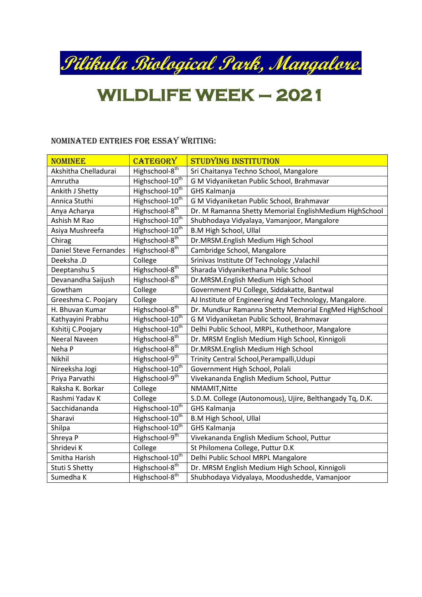

#### NOMINATED ENTRIES FOR Essay writing:

| <b>NOMINEE</b>                | <b>CATEGORY</b>             | <b>STUDYING INSTITUTION</b>                              |
|-------------------------------|-----------------------------|----------------------------------------------------------|
| Akshitha Chelladurai          | Highschool-8 <sup>th</sup>  | Sri Chaitanya Techno School, Mangalore                   |
| Amrutha                       | Highschool-10 <sup>th</sup> | G M Vidyaniketan Public School, Brahmavar                |
| Ankith J Shetty               | Highschool-10 <sup>th</sup> | <b>GHS Kalmanja</b>                                      |
| Annica Stuthi                 | Highschool-10 <sup>th</sup> | G M Vidyaniketan Public School, Brahmavar                |
| Anya Acharya                  | Highschool-8 <sup>th</sup>  | Dr. M Ramanna Shetty Memorial EnglishMedium HighSchool   |
| Ashish M Rao                  | Highschool-10 <sup>th</sup> | Shubhodaya Vidyalaya, Vamanjoor, Mangalore               |
| Asiya Mushreefa               | Highschool-10 <sup>th</sup> | <b>B.M High School, Ullal</b>                            |
| Chirag                        | Highschool-8 <sup>th</sup>  | Dr.MRSM.English Medium High School                       |
| <b>Daniel Steve Fernandes</b> | Highschool-8 <sup>th</sup>  | Cambridge School, Mangalore                              |
| Deeksha.D                     | College                     | Srinivas Institute Of Technology , Valachil              |
| Deeptanshu S                  | Highschool-8 <sup>th</sup>  | Sharada Vidyanikethana Public School                     |
| Devanandha Saijush            | Highschool-8 <sup>th</sup>  | Dr.MRSM.English Medium High School                       |
| Gowtham                       | College                     | Government PU College, Siddakatte, Bantwal               |
| Greeshma C. Poojary           | College                     | AJ Institute of Engineering And Technology, Mangalore.   |
| H. Bhuvan Kumar               | Highschool-8 <sup>th</sup>  | Dr. Mundkur Ramanna Shetty Memorial EngMed HighSchool    |
| Kathyayini Prabhu             | Highschool-10 <sup>th</sup> | G M Vidyaniketan Public School, Brahmavar                |
| Kshitij C.Poojary             | Highschool-10 <sup>th</sup> | Delhi Public School, MRPL, Kuthethoor, Mangalore         |
| Neeral Naveen                 | Highschool-8 <sup>th</sup>  | Dr. MRSM English Medium High School, Kinnigoli           |
| Neha P                        | Highschool-8 <sup>th</sup>  | Dr.MRSM.English Medium High School                       |
| Nikhil                        | Highschool-9 <sup>th</sup>  | Trinity Central School, Perampalli, Udupi                |
| Nireeksha Jogi                | Highschool-10 <sup>th</sup> | Government High School, Polali                           |
| Priya Parvathi                | Highschool-9 <sup>th</sup>  | Vivekananda English Medium School, Puttur                |
| Raksha K. Borkar              | College                     | NMAMIT, Nitte                                            |
| Rashmi Yadav K                | College                     | S.D.M. College (Autonomous), Ujire, Belthangady Tq, D.K. |
| Sacchidananda                 | Highschool-10 <sup>th</sup> | GHS Kalmanja                                             |
| Sharavi                       | Highschool-10 <sup>th</sup> | <b>B.M High School, Ullal</b>                            |
| Shilpa                        | Highschool-10 <sup>th</sup> | <b>GHS Kalmanja</b>                                      |
| Shreya P                      | Highschool-9 <sup>th</sup>  | Vivekananda English Medium School, Puttur                |
| Shridevi K                    | College                     | St Philomena College, Puttur D.K                         |
| Smitha Harish                 | Highschool-10 <sup>th</sup> | Delhi Public School MRPL Mangalore                       |
| <b>Stuti S Shetty</b>         | Highschool-8 <sup>th</sup>  | Dr. MRSM English Medium High School, Kinnigoli           |
| Sumedha K                     | Highschool-8 <sup>th</sup>  | Shubhodaya Vidyalaya, Moodushedde, Vamanjoor             |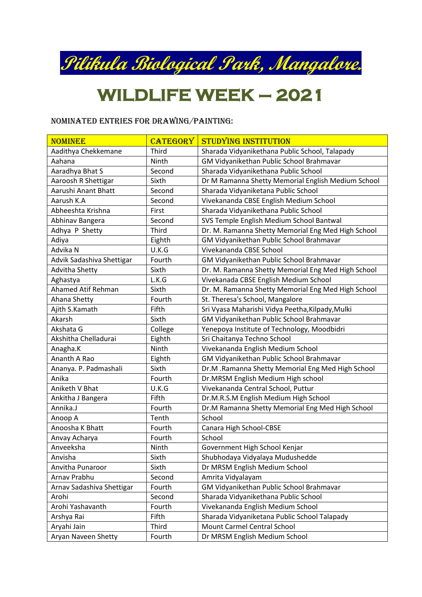

#### NOMINATED ENTRIES FOR Drawing/painting:

| <b>NOMINEE</b>            | <b>CATEGORY</b> | <b>STUDYING INSTITUTION</b>                        |
|---------------------------|-----------------|----------------------------------------------------|
| Aadithya Chekkemane       | Third           | Sharada Vidyanikethana Public School, Talapady     |
| Aahana                    | Ninth           | GM Vidyanikethan Public School Brahmavar           |
| Aaradhya Bhat S           | Second          | Sharada Vidyanikethana Public School               |
| Aaroosh R Shettigar       | Sixth           | Dr M Ramanna Shetty Memorial English Medium School |
| Aarushi Anant Bhatt       | Second          | Sharada Vidyaniketana Public School                |
| Aarush K.A                | Second          | Vivekananda CBSE English Medium School             |
| Abheeshta Krishna         | First           | Sharada Vidyanikethana Public School               |
| Abhinav Bangera           | Second          | SVS Temple English Medium School Bantwal           |
| Adhya P Shetty            | <b>Third</b>    | Dr. M. Ramanna Shetty Memorial Eng Med High School |
| Adiya                     | Eighth          | GM Vidyanikethan Public School Brahmavar           |
| Advika N                  | U.K.G           | Vivekananda CBSE School                            |
| Advik Sadashiva Shettigar | Fourth          | GM Vidyanikethan Public School Brahmavar           |
| <b>Advitha Shetty</b>     | Sixth           | Dr. M. Ramanna Shetty Memorial Eng Med High School |
| Aghastya                  | L.K.G           | Vivekanada CBSE English Medium School              |
| Ahamed Atif Rehman        | Sixth           | Dr. M. Ramanna Shetty Memorial Eng Med High School |
| Ahana Shetty              | Fourth          | St. Theresa's School, Mangalore                    |
| Ajith S.Kamath            | Fifth           | Sri Vyasa Maharishi Vidya Peetha, Kilpady, Mulki   |
| Akarsh                    | Sixth           | GM Vidyanikethan Public School Brahmavar           |
| Akshata G                 | College         | Yenepoya Institute of Technology, Moodbidri        |
| Akshitha Chelladurai      | Eighth          | Sri Chaitanya Techno School                        |
| Anagha.K                  | Ninth           | Vivekananda English Medium School                  |
| Ananth A Rao              | Eighth          | GM Vidyanikethan Public School Brahmavar           |
| Ananya. P. Padmashali     | Sixth           | Dr.M .Ramanna Shetty Memorial Eng Med High School  |
| Anika                     | Fourth          | Dr.MRSM English Medium High school                 |
| Aniketh V Bhat            | U.K.G           | Vivekananda Central School, Puttur                 |
| Ankitha J Bangera         | Fifth           | Dr.M.R.S.M English Medium High School              |
| Annika.J                  | Fourth          | Dr.M Ramanna Shetty Memorial Eng Med High School   |
| Anoop A                   | Tenth           | School                                             |
| Anoosha K Bhatt           | Fourth          | Canara High School-CBSE                            |
| Anvay Acharya             | Fourth          | School                                             |
| Anveeksha                 | Ninth           | Government High School Kenjar                      |
| Anvisha                   | Sixth           | Shubhodaya Vidyalaya Mudushedde                    |
| Anvitha Punaroor          | Sixth           | Dr MRSM English Medium School                      |
| Arnav Prabhu              | Second          | Amrita Vidyalayam                                  |
| Arnav Sadashiva Shettigar | Fourth          | GM Vidyanikethan Public School Brahmavar           |
| Arohi                     | Second          | Sharada Vidyanikethana Public School               |
| Arohi Yashavanth          | Fourth          | Vivekananda English Medium School                  |
| Arshya Rai                | Fifth           | Sharada Vidyaniketana Public School Talapady       |
| Aryahi Jain               | Third           | Mount Carmel Central School                        |
| Aryan Naveen Shetty       | Fourth          | Dr MRSM English Medium School                      |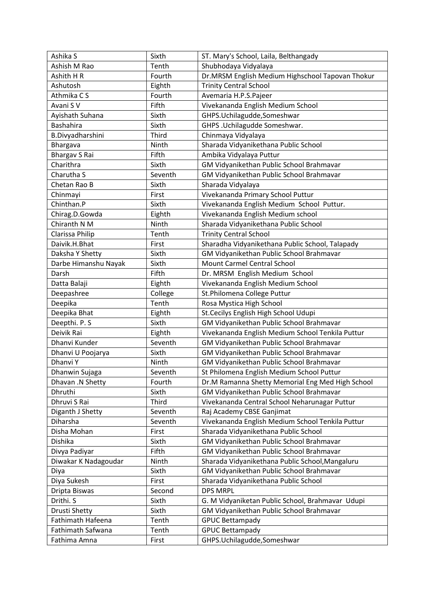| Ashika S             | Sixth            | ST. Mary's School, Laila, Belthangady                               |
|----------------------|------------------|---------------------------------------------------------------------|
| Ashish M Rao         | Tenth            | Shubhodaya Vidyalaya                                                |
| Ashith H R           | Fourth           | Dr.MRSM English Medium Highschool Tapovan Thokur                    |
| Ashutosh             | Eighth           | <b>Trinity Central School</b>                                       |
| Athmika C S          | Fourth           | Avemaria H.P.S.Pajeer                                               |
| Avani SV             | Fifth            | Vivekananda English Medium School                                   |
| Ayishath Suhana      | Sixth            | GHPS.Uchilagudde,Someshwar                                          |
| <b>Bashahira</b>     | Sixth            | GHPS .Uchilagudde Someshwar.                                        |
| B.Divyadharshini     | <b>Third</b>     | Chinmaya Vidyalaya                                                  |
| Bhargava             | Ninth            | Sharada Vidyanikethana Public School                                |
| Bhargav S Rai        | Fifth            | Ambika Vidyalaya Puttur                                             |
| Charithra            | Sixth            | GM Vidyanikethan Public School Brahmavar                            |
| Charutha S           | Seventh          | GM Vidyanikethan Public School Brahmavar                            |
| Chetan Rao B         | Sixth            | Sharada Vidyalaya                                                   |
| Chinmayi             | First            | Vivekananda Primary School Puttur                                   |
| Chinthan.P           | Sixth            | Vivekananda English Medium School Puttur.                           |
| Chirag.D.Gowda       | Eighth           | Vivekananda English Medium school                                   |
| Chiranth N M         | Ninth            | Sharada Vidyanikethana Public School                                |
| Clarissa Philip      | Tenth            | <b>Trinity Central School</b>                                       |
| Daivik.H.Bhat        | First            | Sharadha Vidyanikethana Public School, Talapady                     |
| Daksha Y Shetty      | Sixth            | GM Vidyanikethan Public School Brahmavar                            |
| Darbe Himanshu Nayak | Sixth            | <b>Mount Carmel Central School</b>                                  |
| Darsh                | Fifth            |                                                                     |
| Datta Balaji         |                  | Dr. MRSM English Medium School<br>Vivekananda English Medium School |
| Deepashree           | Eighth           |                                                                     |
|                      | College<br>Tenth | St.Philomena College Puttur                                         |
| Deepika              |                  | Rosa Mystica High School                                            |
| Deepika Bhat         | Eighth           | St.Cecilys English High School Udupi                                |
| Deepthi. P. S        | Sixth            | GM Vidyanikethan Public School Brahmavar                            |
| Deivik Rai           | Eighth           | Vivekananda English Medium School Tenkila Puttur                    |
| Dhanvi Kunder        | Seventh          | GM Vidyanikethan Public School Brahmavar                            |
| Dhanvi U Poojarya    | Sixth            | GM Vidyanikethan Public School Brahmavar                            |
| Dhanvi Y             | Ninth            | GM Vidyanikethan Public School Brahmavar                            |
| Dhanwin Sujaga       | Seventh          | St Philomena English Medium School Puttur                           |
| Dhavan .N Shetty     | Fourth           | Dr.M Ramanna Shetty Memorial Eng Med High School                    |
| Dhruthi              | Sixth            | GM Vidyanikethan Public School Brahmavar                            |
| Dhruvi S Rai         | Third            | Vivekananda Central School Neharunagar Puttur                       |
| Diganth J Shetty     | Seventh          | Raj Academy CBSE Ganjimat                                           |
| Diharsha             | Seventh          | Vivekananda English Medium School Tenkila Puttur                    |
| Disha Mohan          | First            | Sharada Vidyanikethana Public School                                |
| Dishika              | Sixth            | GM Vidyanikethan Public School Brahmavar                            |
| Divya Padiyar        | Fifth            | GM Vidyanikethan Public School Brahmavar                            |
| Diwakar K Nadagoudar | Ninth            | Sharada Vidyanikethana Public School, Mangaluru                     |
| Diya                 | Sixth            | GM Vidyanikethan Public School Brahmavar                            |
| Diya Sukesh          | First            | Sharada Vidyanikethana Public School                                |
| Dripta Biswas        | Second           | <b>DPS MRPL</b>                                                     |
| Drithi. S            | Sixth            | G. M Vidyaniketan Public School, Brahmavar Udupi                    |
| Drusti Shetty        | Sixth            | GM Vidyanikethan Public School Brahmavar                            |
| Fathimath Hafeena    | Tenth            | <b>GPUC Bettampady</b>                                              |
| Fathimath Safwana    | Tenth            | <b>GPUC Bettampady</b>                                              |
| Fathima Amna         | First            | GHPS.Uchilagudde,Someshwar                                          |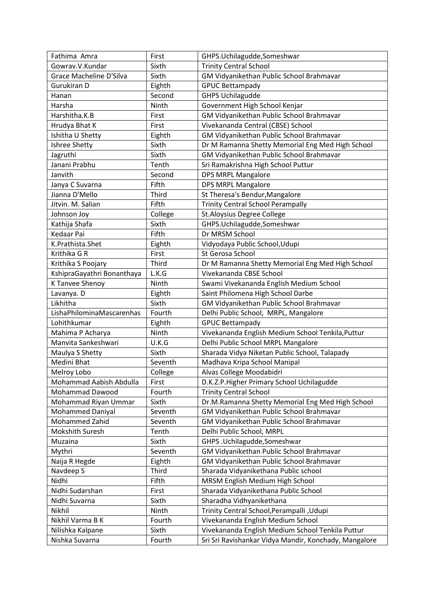| Fathima Amra               | First   | GHPS.Uchilagudde,Someshwar                            |
|----------------------------|---------|-------------------------------------------------------|
| Gowrav.V.Kundar            | Sixth   | <b>Trinity Central School</b>                         |
| Grace Macheline D'Silva    | Sixth   | GM Vidyanikethan Public School Brahmavar              |
| Gurukiran D                | Eighth  | <b>GPUC Bettampady</b>                                |
| Hanan                      | Second  | <b>GHPS Uchilagudde</b>                               |
| Harsha                     | Ninth   | Government High School Kenjar                         |
| Harshitha.K.B              | First   | GM Vidyanikethan Public School Brahmavar              |
| Hrudya Bhat K              | First   | Vivekananda Central (CBSE) School                     |
| Ishitha U Shetty           | Eighth  | GM Vidyanikethan Public School Brahmavar              |
| Ishree Shetty              | Sixth   | Dr M Ramanna Shetty Memorial Eng Med High School      |
| Jagruthi                   | Sixth   | GM Vidyanikethan Public School Brahmavar              |
| Janani Prabhu              | Tenth   | Sri Ramakrishna High School Puttur                    |
| Janvith                    | Second  | DPS MRPL Mangalore                                    |
| Janya C Suvarna            | Fifth   | <b>DPS MRPL Mangalore</b>                             |
| Jianna D'Mello             | Third   | St Theresa's Bendur, Mangalore                        |
| Jitvin. M. Salian          | Fifth   | <b>Trinity Central School Perampally</b>              |
| Johnson Joy                | College | St. Aloysius Degree College                           |
| Kathija Shafa              | Sixth   | GHPS.Uchilagudde,Someshwar                            |
| Kedaar Pai                 | Fifth   | Dr MRSM School                                        |
| K.Prathista.Shet           | Eighth  | Vidyodaya Public School, Udupi                        |
| Krithika G R               | First   | St Gerosa School                                      |
| Krithika S Poojary         | Third   | Dr M Ramanna Shetty Memorial Eng Med High School      |
| KshipraGayathri Bonanthaya | L.K.G   | Vivekananda CBSE School                               |
| K Tanvee Shenoy            | Ninth   | Swami Vivekananda English Medium School               |
| Lavanya. D                 | Eighth  | Saint Philomena High School Darbe                     |
| Likhitha                   | Sixth   | GM Vidyanikethan Public School Brahmavar              |
| LishaPhilominaMascarenhas  | Fourth  | Delhi Public School, MRPL, Mangalore                  |
| Lohithkumar                | Eighth  | <b>GPUC Bettampady</b>                                |
| Mahima P Acharya           | Ninth   | Vivekananda English Medium School Tenkila, Puttur     |
| Manvita Sankeshwari        | U.K.G   | Delhi Public School MRPL Mangalore                    |
| Maulya S Shetty            | Sixth   | Sharada Vidya Niketan Public School, Talapady         |
| Medini Bhat                | Seventh | Madhava Kripa School Manipal                          |
| Melroy Lobo                | College | Alvas College Moodabidri                              |
| Mohammad Aabish Abdulla    | First   | D.K.Z.P.Higher Primary School Uchilagudde             |
| Mohammad Dawood            | Fourth  | <b>Trinity Central School</b>                         |
| Mohammad Riyan Ummar       | Sixth   | Dr.M.Ramanna Shetty Memorial Eng Med High School      |
| <b>Mohammed Daniyal</b>    | Seventh | GM Vidyanikethan Public School Brahmavar              |
| Mohammed Zahid             | Seventh | GM Vidyanikethan Public School Brahmavar              |
| Mokshith Suresh            | Tenth   | Delhi Public School, MRPL                             |
| Muzaina                    | Sixth   | GHPS .Uchilagudde,Someshwar                           |
| Mythri                     | Seventh | GM Vidyanikethan Public School Brahmavar              |
| Naija R Hegde              | Eighth  | GM Vidyanikethan Public School Brahmavar              |
| Navdeep S                  | Third   | Sharada Vidyanikethana Public school                  |
| Nidhi                      | Fifth   | MRSM English Medium High School                       |
| Nidhi Sudarshan            | First   | Sharada Vidyanikethana Public School                  |
| Nidhi Suvarna              | Sixth   | Sharadha Vidhyanikethana                              |
| Nikhil                     | Ninth   | Trinity Central School, Perampalli, Udupi             |
| Nikhil Varma B K           | Fourth  | Vivekananda English Medium School                     |
| Nilishka Kalpane           | Sixth   | Vivekananda English Medium School Tenkila Puttur      |
| Nishka Suvarna             | Fourth  | Sri Sri Ravishankar Vidya Mandir, Konchady, Mangalore |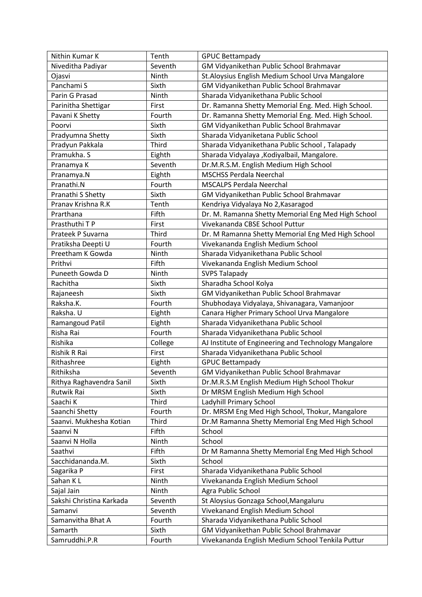| Nithin Kumar K           | Tenth        | <b>GPUC Bettampady</b>                               |
|--------------------------|--------------|------------------------------------------------------|
| Niveditha Padiyar        | Seventh      | GM Vidyanikethan Public School Brahmavar             |
| Ojasvi                   | Ninth        | St. Aloysius English Medium School Urva Mangalore    |
| Panchami S               | Sixth        | GM Vidyanikethan Public School Brahmavar             |
| Parin G Prasad           | Ninth        | Sharada Vidyanikethana Public School                 |
| Parinitha Shettigar      | First        | Dr. Ramanna Shetty Memorial Eng. Med. High School.   |
| Pavani K Shetty          | Fourth       | Dr. Ramanna Shetty Memorial Eng. Med. High School.   |
| Poorvi                   | Sixth        | GM Vidyanikethan Public School Brahmavar             |
| Pradyumna Shetty         | Sixth        | Sharada Vidyaniketana Public School                  |
| Pradyun Pakkala          | Third        | Sharada Vidyanikethana Public School, Talapady       |
| Pramukha. S              | Eighth       | Sharada Vidyalaya , Kodiyalbail, Mangalore.          |
| Pranamya K               | Seventh      | Dr.M.R.S.M. English Medium High School               |
| Pranamya.N               | Eighth       | <b>MSCHSS Perdala Neerchal</b>                       |
| Pranathi.N               | Fourth       | <b>MSCALPS Perdala Neerchal</b>                      |
| Pranathi S Shetty        | Sixth        | GM Vidyanikethan Public School Brahmavar             |
| Pranav Krishna R.K       | Tenth        | Kendriya Vidyalaya No 2, Kasaragod                   |
| Prarthana                | Fifth        | Dr. M. Ramanna Shetty Memorial Eng Med High School   |
| Prasthuthi TP            | First        | Vivekananda CBSE School Puttur                       |
| Prateek P Suvarna        | <b>Third</b> | Dr. M Ramanna Shetty Memorial Eng Med High School    |
| Pratiksha Deepti U       | Fourth       | Vivekananda English Medium School                    |
| Preetham K Gowda         | Ninth        | Sharada Vidyanikethana Public School                 |
| Prithvi                  | Fifth        | Vivekananda English Medium School                    |
| Puneeth Gowda D          | Ninth        | <b>SVPS Talapady</b>                                 |
| Rachitha                 | Sixth        | Sharadha School Kolya                                |
| Rajaneesh                | Sixth        | GM Vidyanikethan Public School Brahmavar             |
| Raksha.K.                | Fourth       | Shubhodaya Vidyalaya, Shivanagara, Vamanjoor         |
| Raksha. U                | Eighth       | Canara Higher Primary School Urva Mangalore          |
| Ramangoud Patil          | Eighth       | Sharada Vidyanikethana Public School                 |
| Risha Rai                | Fourth       | Sharada Vidyanikethana Public School                 |
| Rishika                  | College      | AJ Institute of Engineering and Technology Mangalore |
| Rishik R Rai             | First        | Sharada Vidyanikethana Public School                 |
| Rithashree               | Eighth       | <b>GPUC Bettampady</b>                               |
| Rithiksha                | Seventh      | GM Vidyanikethan Public School Brahmavar             |
| Rithya Raghavendra Sanil | Sixth        | Dr.M.R.S.M English Medium High School Thokur         |
| Rutwik Rai               | Sixth        | Dr MRSM English Medium High School                   |
| Saachi K                 | Third        | Ladyhill Primary School                              |
| Saanchi Shetty           | Fourth       | Dr. MRSM Eng Med High School, Thokur, Mangalore      |
| Saanvi. Mukhesha Kotian  | Third        | Dr.M Ramanna Shetty Memorial Eng Med High School     |
| Saanvi N                 | Fifth        | School                                               |
| Saanvi N Holla           | Ninth        | School                                               |
| Saathvi                  | Fifth        | Dr M Ramanna Shetty Memorial Eng Med High School     |
| Sacchidananda.M.         | Sixth        | School                                               |
| Sagarika P               | First        | Sharada Vidyanikethana Public School                 |
| Sahan KL                 | Ninth        | Vivekananda English Medium School                    |
| Sajal Jain               | Ninth        | Agra Public School                                   |
| Sakshi Christina Karkada | Seventh      | St Aloysius Gonzaga School, Mangaluru                |
| Samanvi                  | Seventh      | Vivekanand English Medium School                     |
| Samanvitha Bhat A        | Fourth       | Sharada Vidyanikethana Public School                 |
| Samarth                  | Sixth        | GM Vidyanikethan Public School Brahmavar             |
| Samruddhi.P.R            | Fourth       | Vivekananda English Medium School Tenkila Puttur     |
|                          |              |                                                      |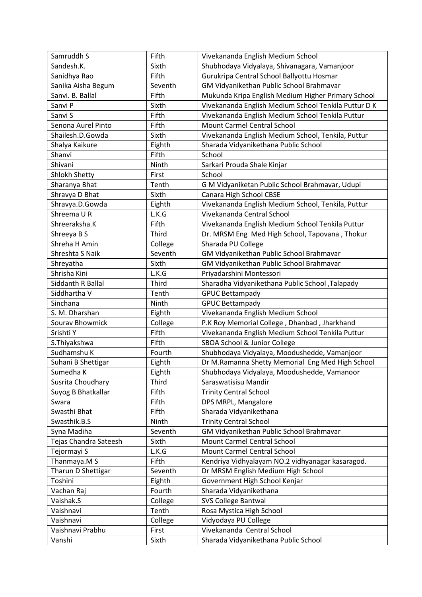| Sandesh.K.<br>Sixth<br>Shubhodaya Vidyalaya, Shivanagara, Vamanjoor<br>Fifth<br>Gurukripa Central School Ballyottu Hosmar<br>Sanidhya Rao<br>Sanika Aisha Begum<br>Seventh<br>GM Vidyanikethan Public School Brahmavar<br>Sanvi. B. Ballal<br><b>Fifth</b><br>Mukunda Kripa English Medium Higher Primary School<br>Vivekananda English Medium School Tenkila Puttur D K<br>Sanvi P<br>Sixth<br>Sanvi S<br>Fifth<br>Vivekananda English Medium School Tenkila Puttur<br>Senona Aurel Pinto<br><b>Fifth</b><br><b>Mount Carmel Central School</b><br>Vivekananda English Medium School, Tenkila, Puttur<br>Shailesh.D.Gowda<br>Sixth<br>Sharada Vidyanikethana Public School<br>Shalya Kaikure<br>Eighth<br>Shanvi<br>Fifth<br>School<br>Shivani<br>Ninth<br>Sarkari Prouda Shale Kinjar<br>School<br>Shlokh Shetty<br>First<br>G M Vidyaniketan Public School Brahmavar, Udupi<br>Sharanya Bhat<br>Tenth<br>Shravya D Bhat<br>Sixth<br>Canara High School CBSE<br>Vivekananda English Medium School, Tenkila, Puttur<br>Shravya.D.Gowda<br>Eighth<br>Shreema UR<br>Vivekananda Central School<br>L.K.G<br>Fifth<br>Vivekananda English Medium School Tenkila Puttur<br>Shreeraksha.K<br>Third<br>Dr. MRSM Eng Med High School, Tapovana, Thokur<br>Shreeya B S<br>Shreha H Amin<br>Sharada PU College<br>College<br>Shreshta S Naik<br>Seventh<br>GM Vidyanikethan Public School Brahmavar<br>Sixth<br>GM Vidyanikethan Public School Brahmavar<br>Shreyatha<br>Shrisha Kini<br>Priyadarshini Montessori<br>L.K.G<br>Third<br>Sharadha Vidyanikethana Public School, Talapady<br>Siddanth R Ballal<br>Siddhartha V<br>Tenth<br><b>GPUC Bettampady</b><br><b>GPUC Bettampady</b><br>Sinchana<br>Ninth<br>S. M. Dharshan<br>Vivekananda English Medium School<br>Eighth<br>P.K Roy Memorial College, Dhanbad, Jharkhand<br>Sourav Bhowmick<br>College<br>Vivekananda English Medium School Tenkila Puttur<br>Fifth<br>Srishti Y<br><b>Fifth</b><br>SBOA School & Junior College<br>S. Thiyakshwa<br>Sudhamshu K<br>Shubhodaya Vidyalaya, Moodushedde, Vamanjoor<br>Fourth<br>Suhani B Shettigar<br>Dr M.Ramanna Shetty Memorial Eng Med High School<br>Eighth<br>Sumedha K<br>Eighth<br>Shubhodaya Vidyalaya, Moodushedde, Vamanoor<br>Third<br>Saraswatisisu Mandir<br>Susrita Choudhary<br>Suyog B Bhatkallar<br>Fifth<br><b>Trinity Central School</b><br>Swara<br>Fifth<br>DPS MRPL, Mangalore<br>Fifth<br>Sharada Vidyanikethana<br>Swasthi Bhat<br>Swasthik.B.S<br>Ninth<br><b>Trinity Central School</b><br>Syna Madiha<br>GM Vidyanikethan Public School Brahmavar<br>Seventh<br>Tejas Chandra Sateesh<br>Sixth<br>Mount Carmel Central School<br>L.K.G<br>Mount Carmel Central School<br>Tejormayi S<br>Thanmaya.M S<br>Fifth<br>Kendriya Vidhyalayam NO.2 vidhyanagar kasaragod.<br>Tharun D Shettigar<br>Dr MRSM English Medium High School<br>Seventh<br>Government High School Kenjar<br>Toshini<br>Eighth<br>Fourth<br>Vachan Raj<br>Sharada Vidyanikethana | Samruddh S | Fifth | Vivekananda English Medium School |
|-------------------------------------------------------------------------------------------------------------------------------------------------------------------------------------------------------------------------------------------------------------------------------------------------------------------------------------------------------------------------------------------------------------------------------------------------------------------------------------------------------------------------------------------------------------------------------------------------------------------------------------------------------------------------------------------------------------------------------------------------------------------------------------------------------------------------------------------------------------------------------------------------------------------------------------------------------------------------------------------------------------------------------------------------------------------------------------------------------------------------------------------------------------------------------------------------------------------------------------------------------------------------------------------------------------------------------------------------------------------------------------------------------------------------------------------------------------------------------------------------------------------------------------------------------------------------------------------------------------------------------------------------------------------------------------------------------------------------------------------------------------------------------------------------------------------------------------------------------------------------------------------------------------------------------------------------------------------------------------------------------------------------------------------------------------------------------------------------------------------------------------------------------------------------------------------------------------------------------------------------------------------------------------------------------------------------------------------------------------------------------------------------------------------------------------------------------------------------------------------------------------------------------------------------------------------------------------------------------------------------------------------------------------------------------------------------------------------------------------------------------------------------------------------------------------------------------------------------------------------------------------------------------------------------------------------------------------------------|------------|-------|-----------------------------------|
|                                                                                                                                                                                                                                                                                                                                                                                                                                                                                                                                                                                                                                                                                                                                                                                                                                                                                                                                                                                                                                                                                                                                                                                                                                                                                                                                                                                                                                                                                                                                                                                                                                                                                                                                                                                                                                                                                                                                                                                                                                                                                                                                                                                                                                                                                                                                                                                                                                                                                                                                                                                                                                                                                                                                                                                                                                                                                                                                                                         |            |       |                                   |
|                                                                                                                                                                                                                                                                                                                                                                                                                                                                                                                                                                                                                                                                                                                                                                                                                                                                                                                                                                                                                                                                                                                                                                                                                                                                                                                                                                                                                                                                                                                                                                                                                                                                                                                                                                                                                                                                                                                                                                                                                                                                                                                                                                                                                                                                                                                                                                                                                                                                                                                                                                                                                                                                                                                                                                                                                                                                                                                                                                         |            |       |                                   |
|                                                                                                                                                                                                                                                                                                                                                                                                                                                                                                                                                                                                                                                                                                                                                                                                                                                                                                                                                                                                                                                                                                                                                                                                                                                                                                                                                                                                                                                                                                                                                                                                                                                                                                                                                                                                                                                                                                                                                                                                                                                                                                                                                                                                                                                                                                                                                                                                                                                                                                                                                                                                                                                                                                                                                                                                                                                                                                                                                                         |            |       |                                   |
|                                                                                                                                                                                                                                                                                                                                                                                                                                                                                                                                                                                                                                                                                                                                                                                                                                                                                                                                                                                                                                                                                                                                                                                                                                                                                                                                                                                                                                                                                                                                                                                                                                                                                                                                                                                                                                                                                                                                                                                                                                                                                                                                                                                                                                                                                                                                                                                                                                                                                                                                                                                                                                                                                                                                                                                                                                                                                                                                                                         |            |       |                                   |
|                                                                                                                                                                                                                                                                                                                                                                                                                                                                                                                                                                                                                                                                                                                                                                                                                                                                                                                                                                                                                                                                                                                                                                                                                                                                                                                                                                                                                                                                                                                                                                                                                                                                                                                                                                                                                                                                                                                                                                                                                                                                                                                                                                                                                                                                                                                                                                                                                                                                                                                                                                                                                                                                                                                                                                                                                                                                                                                                                                         |            |       |                                   |
|                                                                                                                                                                                                                                                                                                                                                                                                                                                                                                                                                                                                                                                                                                                                                                                                                                                                                                                                                                                                                                                                                                                                                                                                                                                                                                                                                                                                                                                                                                                                                                                                                                                                                                                                                                                                                                                                                                                                                                                                                                                                                                                                                                                                                                                                                                                                                                                                                                                                                                                                                                                                                                                                                                                                                                                                                                                                                                                                                                         |            |       |                                   |
|                                                                                                                                                                                                                                                                                                                                                                                                                                                                                                                                                                                                                                                                                                                                                                                                                                                                                                                                                                                                                                                                                                                                                                                                                                                                                                                                                                                                                                                                                                                                                                                                                                                                                                                                                                                                                                                                                                                                                                                                                                                                                                                                                                                                                                                                                                                                                                                                                                                                                                                                                                                                                                                                                                                                                                                                                                                                                                                                                                         |            |       |                                   |
|                                                                                                                                                                                                                                                                                                                                                                                                                                                                                                                                                                                                                                                                                                                                                                                                                                                                                                                                                                                                                                                                                                                                                                                                                                                                                                                                                                                                                                                                                                                                                                                                                                                                                                                                                                                                                                                                                                                                                                                                                                                                                                                                                                                                                                                                                                                                                                                                                                                                                                                                                                                                                                                                                                                                                                                                                                                                                                                                                                         |            |       |                                   |
|                                                                                                                                                                                                                                                                                                                                                                                                                                                                                                                                                                                                                                                                                                                                                                                                                                                                                                                                                                                                                                                                                                                                                                                                                                                                                                                                                                                                                                                                                                                                                                                                                                                                                                                                                                                                                                                                                                                                                                                                                                                                                                                                                                                                                                                                                                                                                                                                                                                                                                                                                                                                                                                                                                                                                                                                                                                                                                                                                                         |            |       |                                   |
|                                                                                                                                                                                                                                                                                                                                                                                                                                                                                                                                                                                                                                                                                                                                                                                                                                                                                                                                                                                                                                                                                                                                                                                                                                                                                                                                                                                                                                                                                                                                                                                                                                                                                                                                                                                                                                                                                                                                                                                                                                                                                                                                                                                                                                                                                                                                                                                                                                                                                                                                                                                                                                                                                                                                                                                                                                                                                                                                                                         |            |       |                                   |
|                                                                                                                                                                                                                                                                                                                                                                                                                                                                                                                                                                                                                                                                                                                                                                                                                                                                                                                                                                                                                                                                                                                                                                                                                                                                                                                                                                                                                                                                                                                                                                                                                                                                                                                                                                                                                                                                                                                                                                                                                                                                                                                                                                                                                                                                                                                                                                                                                                                                                                                                                                                                                                                                                                                                                                                                                                                                                                                                                                         |            |       |                                   |
|                                                                                                                                                                                                                                                                                                                                                                                                                                                                                                                                                                                                                                                                                                                                                                                                                                                                                                                                                                                                                                                                                                                                                                                                                                                                                                                                                                                                                                                                                                                                                                                                                                                                                                                                                                                                                                                                                                                                                                                                                                                                                                                                                                                                                                                                                                                                                                                                                                                                                                                                                                                                                                                                                                                                                                                                                                                                                                                                                                         |            |       |                                   |
|                                                                                                                                                                                                                                                                                                                                                                                                                                                                                                                                                                                                                                                                                                                                                                                                                                                                                                                                                                                                                                                                                                                                                                                                                                                                                                                                                                                                                                                                                                                                                                                                                                                                                                                                                                                                                                                                                                                                                                                                                                                                                                                                                                                                                                                                                                                                                                                                                                                                                                                                                                                                                                                                                                                                                                                                                                                                                                                                                                         |            |       |                                   |
|                                                                                                                                                                                                                                                                                                                                                                                                                                                                                                                                                                                                                                                                                                                                                                                                                                                                                                                                                                                                                                                                                                                                                                                                                                                                                                                                                                                                                                                                                                                                                                                                                                                                                                                                                                                                                                                                                                                                                                                                                                                                                                                                                                                                                                                                                                                                                                                                                                                                                                                                                                                                                                                                                                                                                                                                                                                                                                                                                                         |            |       |                                   |
|                                                                                                                                                                                                                                                                                                                                                                                                                                                                                                                                                                                                                                                                                                                                                                                                                                                                                                                                                                                                                                                                                                                                                                                                                                                                                                                                                                                                                                                                                                                                                                                                                                                                                                                                                                                                                                                                                                                                                                                                                                                                                                                                                                                                                                                                                                                                                                                                                                                                                                                                                                                                                                                                                                                                                                                                                                                                                                                                                                         |            |       |                                   |
|                                                                                                                                                                                                                                                                                                                                                                                                                                                                                                                                                                                                                                                                                                                                                                                                                                                                                                                                                                                                                                                                                                                                                                                                                                                                                                                                                                                                                                                                                                                                                                                                                                                                                                                                                                                                                                                                                                                                                                                                                                                                                                                                                                                                                                                                                                                                                                                                                                                                                                                                                                                                                                                                                                                                                                                                                                                                                                                                                                         |            |       |                                   |
|                                                                                                                                                                                                                                                                                                                                                                                                                                                                                                                                                                                                                                                                                                                                                                                                                                                                                                                                                                                                                                                                                                                                                                                                                                                                                                                                                                                                                                                                                                                                                                                                                                                                                                                                                                                                                                                                                                                                                                                                                                                                                                                                                                                                                                                                                                                                                                                                                                                                                                                                                                                                                                                                                                                                                                                                                                                                                                                                                                         |            |       |                                   |
|                                                                                                                                                                                                                                                                                                                                                                                                                                                                                                                                                                                                                                                                                                                                                                                                                                                                                                                                                                                                                                                                                                                                                                                                                                                                                                                                                                                                                                                                                                                                                                                                                                                                                                                                                                                                                                                                                                                                                                                                                                                                                                                                                                                                                                                                                                                                                                                                                                                                                                                                                                                                                                                                                                                                                                                                                                                                                                                                                                         |            |       |                                   |
|                                                                                                                                                                                                                                                                                                                                                                                                                                                                                                                                                                                                                                                                                                                                                                                                                                                                                                                                                                                                                                                                                                                                                                                                                                                                                                                                                                                                                                                                                                                                                                                                                                                                                                                                                                                                                                                                                                                                                                                                                                                                                                                                                                                                                                                                                                                                                                                                                                                                                                                                                                                                                                                                                                                                                                                                                                                                                                                                                                         |            |       |                                   |
|                                                                                                                                                                                                                                                                                                                                                                                                                                                                                                                                                                                                                                                                                                                                                                                                                                                                                                                                                                                                                                                                                                                                                                                                                                                                                                                                                                                                                                                                                                                                                                                                                                                                                                                                                                                                                                                                                                                                                                                                                                                                                                                                                                                                                                                                                                                                                                                                                                                                                                                                                                                                                                                                                                                                                                                                                                                                                                                                                                         |            |       |                                   |
|                                                                                                                                                                                                                                                                                                                                                                                                                                                                                                                                                                                                                                                                                                                                                                                                                                                                                                                                                                                                                                                                                                                                                                                                                                                                                                                                                                                                                                                                                                                                                                                                                                                                                                                                                                                                                                                                                                                                                                                                                                                                                                                                                                                                                                                                                                                                                                                                                                                                                                                                                                                                                                                                                                                                                                                                                                                                                                                                                                         |            |       |                                   |
|                                                                                                                                                                                                                                                                                                                                                                                                                                                                                                                                                                                                                                                                                                                                                                                                                                                                                                                                                                                                                                                                                                                                                                                                                                                                                                                                                                                                                                                                                                                                                                                                                                                                                                                                                                                                                                                                                                                                                                                                                                                                                                                                                                                                                                                                                                                                                                                                                                                                                                                                                                                                                                                                                                                                                                                                                                                                                                                                                                         |            |       |                                   |
|                                                                                                                                                                                                                                                                                                                                                                                                                                                                                                                                                                                                                                                                                                                                                                                                                                                                                                                                                                                                                                                                                                                                                                                                                                                                                                                                                                                                                                                                                                                                                                                                                                                                                                                                                                                                                                                                                                                                                                                                                                                                                                                                                                                                                                                                                                                                                                                                                                                                                                                                                                                                                                                                                                                                                                                                                                                                                                                                                                         |            |       |                                   |
|                                                                                                                                                                                                                                                                                                                                                                                                                                                                                                                                                                                                                                                                                                                                                                                                                                                                                                                                                                                                                                                                                                                                                                                                                                                                                                                                                                                                                                                                                                                                                                                                                                                                                                                                                                                                                                                                                                                                                                                                                                                                                                                                                                                                                                                                                                                                                                                                                                                                                                                                                                                                                                                                                                                                                                                                                                                                                                                                                                         |            |       |                                   |
|                                                                                                                                                                                                                                                                                                                                                                                                                                                                                                                                                                                                                                                                                                                                                                                                                                                                                                                                                                                                                                                                                                                                                                                                                                                                                                                                                                                                                                                                                                                                                                                                                                                                                                                                                                                                                                                                                                                                                                                                                                                                                                                                                                                                                                                                                                                                                                                                                                                                                                                                                                                                                                                                                                                                                                                                                                                                                                                                                                         |            |       |                                   |
|                                                                                                                                                                                                                                                                                                                                                                                                                                                                                                                                                                                                                                                                                                                                                                                                                                                                                                                                                                                                                                                                                                                                                                                                                                                                                                                                                                                                                                                                                                                                                                                                                                                                                                                                                                                                                                                                                                                                                                                                                                                                                                                                                                                                                                                                                                                                                                                                                                                                                                                                                                                                                                                                                                                                                                                                                                                                                                                                                                         |            |       |                                   |
|                                                                                                                                                                                                                                                                                                                                                                                                                                                                                                                                                                                                                                                                                                                                                                                                                                                                                                                                                                                                                                                                                                                                                                                                                                                                                                                                                                                                                                                                                                                                                                                                                                                                                                                                                                                                                                                                                                                                                                                                                                                                                                                                                                                                                                                                                                                                                                                                                                                                                                                                                                                                                                                                                                                                                                                                                                                                                                                                                                         |            |       |                                   |
|                                                                                                                                                                                                                                                                                                                                                                                                                                                                                                                                                                                                                                                                                                                                                                                                                                                                                                                                                                                                                                                                                                                                                                                                                                                                                                                                                                                                                                                                                                                                                                                                                                                                                                                                                                                                                                                                                                                                                                                                                                                                                                                                                                                                                                                                                                                                                                                                                                                                                                                                                                                                                                                                                                                                                                                                                                                                                                                                                                         |            |       |                                   |
|                                                                                                                                                                                                                                                                                                                                                                                                                                                                                                                                                                                                                                                                                                                                                                                                                                                                                                                                                                                                                                                                                                                                                                                                                                                                                                                                                                                                                                                                                                                                                                                                                                                                                                                                                                                                                                                                                                                                                                                                                                                                                                                                                                                                                                                                                                                                                                                                                                                                                                                                                                                                                                                                                                                                                                                                                                                                                                                                                                         |            |       |                                   |
|                                                                                                                                                                                                                                                                                                                                                                                                                                                                                                                                                                                                                                                                                                                                                                                                                                                                                                                                                                                                                                                                                                                                                                                                                                                                                                                                                                                                                                                                                                                                                                                                                                                                                                                                                                                                                                                                                                                                                                                                                                                                                                                                                                                                                                                                                                                                                                                                                                                                                                                                                                                                                                                                                                                                                                                                                                                                                                                                                                         |            |       |                                   |
|                                                                                                                                                                                                                                                                                                                                                                                                                                                                                                                                                                                                                                                                                                                                                                                                                                                                                                                                                                                                                                                                                                                                                                                                                                                                                                                                                                                                                                                                                                                                                                                                                                                                                                                                                                                                                                                                                                                                                                                                                                                                                                                                                                                                                                                                                                                                                                                                                                                                                                                                                                                                                                                                                                                                                                                                                                                                                                                                                                         |            |       |                                   |
|                                                                                                                                                                                                                                                                                                                                                                                                                                                                                                                                                                                                                                                                                                                                                                                                                                                                                                                                                                                                                                                                                                                                                                                                                                                                                                                                                                                                                                                                                                                                                                                                                                                                                                                                                                                                                                                                                                                                                                                                                                                                                                                                                                                                                                                                                                                                                                                                                                                                                                                                                                                                                                                                                                                                                                                                                                                                                                                                                                         |            |       |                                   |
|                                                                                                                                                                                                                                                                                                                                                                                                                                                                                                                                                                                                                                                                                                                                                                                                                                                                                                                                                                                                                                                                                                                                                                                                                                                                                                                                                                                                                                                                                                                                                                                                                                                                                                                                                                                                                                                                                                                                                                                                                                                                                                                                                                                                                                                                                                                                                                                                                                                                                                                                                                                                                                                                                                                                                                                                                                                                                                                                                                         |            |       |                                   |
|                                                                                                                                                                                                                                                                                                                                                                                                                                                                                                                                                                                                                                                                                                                                                                                                                                                                                                                                                                                                                                                                                                                                                                                                                                                                                                                                                                                                                                                                                                                                                                                                                                                                                                                                                                                                                                                                                                                                                                                                                                                                                                                                                                                                                                                                                                                                                                                                                                                                                                                                                                                                                                                                                                                                                                                                                                                                                                                                                                         |            |       |                                   |
|                                                                                                                                                                                                                                                                                                                                                                                                                                                                                                                                                                                                                                                                                                                                                                                                                                                                                                                                                                                                                                                                                                                                                                                                                                                                                                                                                                                                                                                                                                                                                                                                                                                                                                                                                                                                                                                                                                                                                                                                                                                                                                                                                                                                                                                                                                                                                                                                                                                                                                                                                                                                                                                                                                                                                                                                                                                                                                                                                                         |            |       |                                   |
|                                                                                                                                                                                                                                                                                                                                                                                                                                                                                                                                                                                                                                                                                                                                                                                                                                                                                                                                                                                                                                                                                                                                                                                                                                                                                                                                                                                                                                                                                                                                                                                                                                                                                                                                                                                                                                                                                                                                                                                                                                                                                                                                                                                                                                                                                                                                                                                                                                                                                                                                                                                                                                                                                                                                                                                                                                                                                                                                                                         |            |       |                                   |
|                                                                                                                                                                                                                                                                                                                                                                                                                                                                                                                                                                                                                                                                                                                                                                                                                                                                                                                                                                                                                                                                                                                                                                                                                                                                                                                                                                                                                                                                                                                                                                                                                                                                                                                                                                                                                                                                                                                                                                                                                                                                                                                                                                                                                                                                                                                                                                                                                                                                                                                                                                                                                                                                                                                                                                                                                                                                                                                                                                         |            |       |                                   |
|                                                                                                                                                                                                                                                                                                                                                                                                                                                                                                                                                                                                                                                                                                                                                                                                                                                                                                                                                                                                                                                                                                                                                                                                                                                                                                                                                                                                                                                                                                                                                                                                                                                                                                                                                                                                                                                                                                                                                                                                                                                                                                                                                                                                                                                                                                                                                                                                                                                                                                                                                                                                                                                                                                                                                                                                                                                                                                                                                                         |            |       |                                   |
|                                                                                                                                                                                                                                                                                                                                                                                                                                                                                                                                                                                                                                                                                                                                                                                                                                                                                                                                                                                                                                                                                                                                                                                                                                                                                                                                                                                                                                                                                                                                                                                                                                                                                                                                                                                                                                                                                                                                                                                                                                                                                                                                                                                                                                                                                                                                                                                                                                                                                                                                                                                                                                                                                                                                                                                                                                                                                                                                                                         |            |       |                                   |
|                                                                                                                                                                                                                                                                                                                                                                                                                                                                                                                                                                                                                                                                                                                                                                                                                                                                                                                                                                                                                                                                                                                                                                                                                                                                                                                                                                                                                                                                                                                                                                                                                                                                                                                                                                                                                                                                                                                                                                                                                                                                                                                                                                                                                                                                                                                                                                                                                                                                                                                                                                                                                                                                                                                                                                                                                                                                                                                                                                         |            |       |                                   |
|                                                                                                                                                                                                                                                                                                                                                                                                                                                                                                                                                                                                                                                                                                                                                                                                                                                                                                                                                                                                                                                                                                                                                                                                                                                                                                                                                                                                                                                                                                                                                                                                                                                                                                                                                                                                                                                                                                                                                                                                                                                                                                                                                                                                                                                                                                                                                                                                                                                                                                                                                                                                                                                                                                                                                                                                                                                                                                                                                                         |            |       |                                   |
|                                                                                                                                                                                                                                                                                                                                                                                                                                                                                                                                                                                                                                                                                                                                                                                                                                                                                                                                                                                                                                                                                                                                                                                                                                                                                                                                                                                                                                                                                                                                                                                                                                                                                                                                                                                                                                                                                                                                                                                                                                                                                                                                                                                                                                                                                                                                                                                                                                                                                                                                                                                                                                                                                                                                                                                                                                                                                                                                                                         |            |       |                                   |
|                                                                                                                                                                                                                                                                                                                                                                                                                                                                                                                                                                                                                                                                                                                                                                                                                                                                                                                                                                                                                                                                                                                                                                                                                                                                                                                                                                                                                                                                                                                                                                                                                                                                                                                                                                                                                                                                                                                                                                                                                                                                                                                                                                                                                                                                                                                                                                                                                                                                                                                                                                                                                                                                                                                                                                                                                                                                                                                                                                         |            |       |                                   |
|                                                                                                                                                                                                                                                                                                                                                                                                                                                                                                                                                                                                                                                                                                                                                                                                                                                                                                                                                                                                                                                                                                                                                                                                                                                                                                                                                                                                                                                                                                                                                                                                                                                                                                                                                                                                                                                                                                                                                                                                                                                                                                                                                                                                                                                                                                                                                                                                                                                                                                                                                                                                                                                                                                                                                                                                                                                                                                                                                                         |            |       |                                   |
| <b>SVS College Bantwal</b><br>Vaishak.S<br>College                                                                                                                                                                                                                                                                                                                                                                                                                                                                                                                                                                                                                                                                                                                                                                                                                                                                                                                                                                                                                                                                                                                                                                                                                                                                                                                                                                                                                                                                                                                                                                                                                                                                                                                                                                                                                                                                                                                                                                                                                                                                                                                                                                                                                                                                                                                                                                                                                                                                                                                                                                                                                                                                                                                                                                                                                                                                                                                      |            |       |                                   |
| Tenth<br>Rosa Mystica High School<br>Vaishnavi                                                                                                                                                                                                                                                                                                                                                                                                                                                                                                                                                                                                                                                                                                                                                                                                                                                                                                                                                                                                                                                                                                                                                                                                                                                                                                                                                                                                                                                                                                                                                                                                                                                                                                                                                                                                                                                                                                                                                                                                                                                                                                                                                                                                                                                                                                                                                                                                                                                                                                                                                                                                                                                                                                                                                                                                                                                                                                                          |            |       |                                   |
| Vidyodaya PU College<br>Vaishnavi<br>College                                                                                                                                                                                                                                                                                                                                                                                                                                                                                                                                                                                                                                                                                                                                                                                                                                                                                                                                                                                                                                                                                                                                                                                                                                                                                                                                                                                                                                                                                                                                                                                                                                                                                                                                                                                                                                                                                                                                                                                                                                                                                                                                                                                                                                                                                                                                                                                                                                                                                                                                                                                                                                                                                                                                                                                                                                                                                                                            |            |       |                                   |
| Vaishnavi Prabhu<br>Vivekananda Central School<br>First                                                                                                                                                                                                                                                                                                                                                                                                                                                                                                                                                                                                                                                                                                                                                                                                                                                                                                                                                                                                                                                                                                                                                                                                                                                                                                                                                                                                                                                                                                                                                                                                                                                                                                                                                                                                                                                                                                                                                                                                                                                                                                                                                                                                                                                                                                                                                                                                                                                                                                                                                                                                                                                                                                                                                                                                                                                                                                                 |            |       |                                   |
| Sharada Vidyanikethana Public School<br>Vanshi<br>Sixth                                                                                                                                                                                                                                                                                                                                                                                                                                                                                                                                                                                                                                                                                                                                                                                                                                                                                                                                                                                                                                                                                                                                                                                                                                                                                                                                                                                                                                                                                                                                                                                                                                                                                                                                                                                                                                                                                                                                                                                                                                                                                                                                                                                                                                                                                                                                                                                                                                                                                                                                                                                                                                                                                                                                                                                                                                                                                                                 |            |       |                                   |